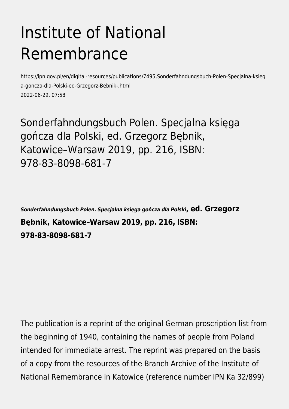## Institute of National Remembrance

https://ipn.gov.pl/en/digital-resources/publications/7495,Sonderfahndungsbuch-Polen-Specjalna-ksieg a-goncza-dla-Polski-ed-Grzegorz-Bebnik-.html 2022-06-29, 07:58

Sonderfahndungsbuch Polen. Specjalna księga gończa dla Polski, ed. Grzegorz Bębnik, Katowice–Warsaw 2019, pp. 216, ISBN: 978-83-8098-681-7

*Sonderfahndungsbuch Polen. Specjalna księga gończa dla Polski***, ed. Grzegorz Bębnik, Katowice–Warsaw 2019, pp. 216, ISBN: 978-83-8098-681-7**

The publication is a reprint of the original German proscription list from the beginning of 1940, containing the names of people from Poland intended for immediate arrest. The reprint was prepared on the basis of a copy from the resources of the Branch Archive of the Institute of National Remembrance in Katowice (reference number IPN Ka 32/899)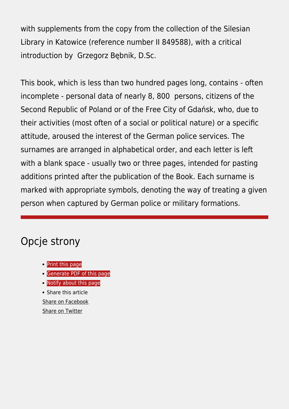with supplements from the copy from the collection of the Silesian Library in Katowice (reference number II 849588), with a critical introduction by Grzegorz Bębnik, D.Sc.

This book, which is less than two hundred pages long, contains - often incomplete - personal data of nearly 8, 800 persons, citizens of the Second Republic of Poland or of the Free City of Gdańsk, who, due to their activities (most often of a social or political nature) or a specific attitude, aroused the interest of the German police services. The surnames are arranged in alphabetical order, and each letter is left with a blank space - usually two or three pages, intended for pasting additions printed after the publication of the Book. Each surname is marked with appropriate symbols, denoting the way of treating a given person when captured by German police or military formations.

## Opcje strony

- [Print](https://ipn.gov.pl/javascript:winopen() [this page](https://ipn.gov.pl/javascript:winopen()
- [Generate PDF](https://ipn.gov.pl/en/digital-resources/publications/7495,Sonderfahndungsbuch-Polen-Specjalna-ksiega-goncza-dla-Polski-ed-Grzegorz-Bebnik-.pdf) [of this page](https://ipn.gov.pl/en/digital-resources/publications/7495,Sonderfahndungsbuch-Polen-Specjalna-ksiega-goncza-dla-Polski-ed-Grzegorz-Bebnik-.pdf)
- [Notify](https://ipn.gov.pl/en/powiadom/7495,dok.html?poz=digital-resources/publications&drukuj=window) [about this page](https://ipn.gov.pl/en/powiadom/7495,dok.html?poz=digital-resources/publications&drukuj=window)
- Share this article [Share](https://www.facebook.com/sharer/sharer.php?u=https://ipn.gov.pl/en/digital-resources/publications/7495,Sonderfahndungsbuch-Polen-Specjalna-ksiega-goncza-dla-Polski-ed-Grzegorz-Bebnik-.html) [on Facebook](https://www.facebook.com/sharer/sharer.php?u=https://ipn.gov.pl/en/digital-resources/publications/7495,Sonderfahndungsbuch-Polen-Specjalna-ksiega-goncza-dla-Polski-ed-Grzegorz-Bebnik-.html) [Share](https://twitter.com/share) [on Twitter](https://twitter.com/share)